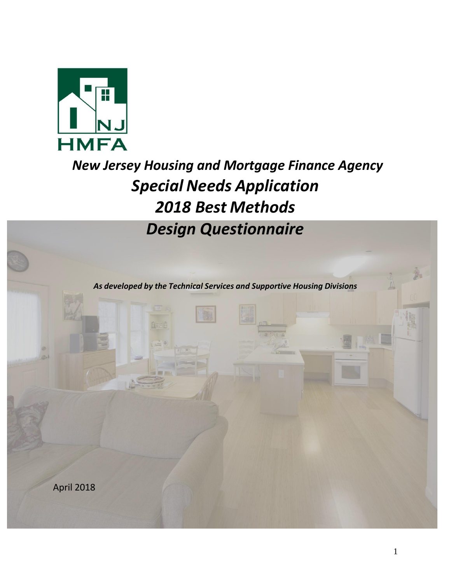

# *New Jersey Housing and Mortgage Finance Agency Special Needs Application 2018 Best Methods Design Questionnaire*

*As developed by the Technical Services and Supportive Housing Divisions*

April 2018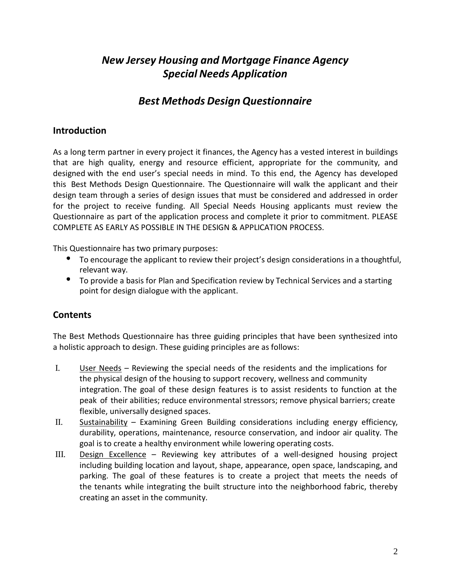## *New Jersey Housing and Mortgage Finance Agency Special Needs Application*

## *Best Methods Design Questionnaire*

#### **Introduction**

As a long term partner in every project it finances, the Agency has a vested interest in buildings that are high quality, energy and resource efficient, appropriate for the community, and designed with the end user's special needs in mind. To this end, the Agency has developed this Best Methods Design Questionnaire. The Questionnaire will walk the applicant and their design team through a series of design issues that must be considered and addressed in order for the project to receive funding. All Special Needs Housing applicants must review the Questionnaire as part of the application process and complete it prior to commitment. PLEASE COMPLETE AS EARLY AS POSSIBLE IN THE DESIGN & APPLICATION PROCESS.

This Questionnaire has two primary purposes:

- To encourage the applicant to review their project's design considerations in a thoughtful, relevant way.
- To provide a basis for Plan and Specification review by Technical Services and a starting point for design dialogue with the applicant.

## **Contents**

The Best Methods Questionnaire has three guiding principles that have been synthesized into a holistic approach to design. These guiding principles are as follows:

- I. User Needs Reviewing the special needs of the residents and the implications for the physical design of the housing to support recovery, wellness and community integration. The goal of these design features is to assist residents to function at the peak of their abilities; reduce environmental stressors; remove physical barriers; create flexible, universally designed spaces.
- II. Sustainability Examining Green Building considerations including energy efficiency, durability, operations, maintenance, resource conservation, and indoor air quality. The goal is to create a healthy environment while lowering operating costs.
- III. Design Excellence Reviewing key attributes of a well-designed housing project including building location and layout, shape, appearance, open space, landscaping, and parking. The goal of these features is to create a project that meets the needs of the tenants while integrating the built structure into the neighborhood fabric, thereby creating an asset in the community.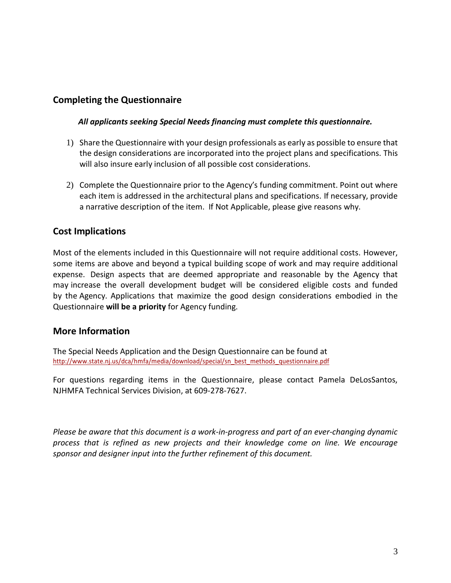## **Completing the Questionnaire**

#### *All applicants seeking Special Needs financing must complete this questionnaire.*

- 1) Share the Questionnaire with your design professionals as early as possible to ensure that the design considerations are incorporated into the project plans and specifications. This will also insure early inclusion of all possible cost considerations.
- 2) Complete the Questionnaire prior to the Agency's funding commitment. Point out where each item is addressed in the architectural plans and specifications. If necessary, provide a narrative description of the item. If Not Applicable, please give reasons why.

#### **Cost Implications**

Most of the elements included in this Questionnaire will not require additional costs. However, some items are above and beyond a typical building scope of work and may require additional expense. Design aspects that are deemed appropriate and reasonable by the Agency that may increase the overall development budget will be considered eligible costs and funded by the Agency. Applications that maximize the good design considerations embodied in the Questionnaire **will be a priority** for Agency funding.

#### **More Information**

The Special Needs Application and the Design Questionnaire can be found at [http://www.state.nj.us/dca/hmfa/media/download/special/sn\\_best\\_methods\\_questionnaire.pdf](http://www.state.nj.us/dca/hmfa/media/download/special/sn_best_methods_questionnaire.pdf)

For questions regarding items in the Questionnaire, please contact Pamela DeLosSantos, NJHMFA Technical Services Division, at 609-278-7627.

*Please be aware that this document is a work-in-progress and part of an ever-changing dynamic process that is refined as new projects and their knowledge come on line. We encourage sponsor and designer input into the further refinement of this document.*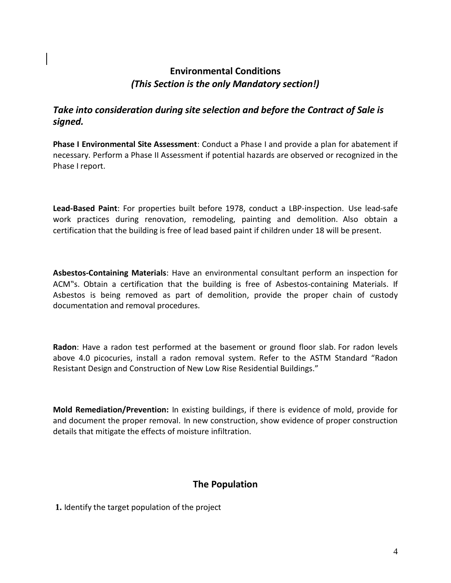## **Environmental Conditions** *(This Section is the only Mandatory section!)*

## *Take into consideration during site selection and before the Contract of Sale is signed.*

**Phase I Environmental Site Assessment**: Conduct a Phase I and provide a plan for abatement if necessary. Perform a Phase II Assessment if potential hazards are observed or recognized in the Phase I report.

**Lead-Based Paint**: For properties built before 1978, conduct a LBP-inspection. Use lead-safe work practices during renovation, remodeling, painting and demolition. Also obtain a certification that the building is free of lead based paint if children under 18 will be present.

**Asbestos-Containing Materials**: Have an environmental consultant perform an inspection for ACM"s. Obtain a certification that the building is free of Asbestos-containing Materials. If Asbestos is being removed as part of demolition, provide the proper chain of custody documentation and removal procedures.

**Radon**: Have a radon test performed at the basement or ground floor slab. For radon levels above 4.0 picocuries, install a radon removal system. Refer to the ASTM Standard "Radon Resistant Design and Construction of New Low Rise Residential Buildings."

**Mold Remediation/Prevention:** In existing buildings, if there is evidence of mold, provide for and document the proper removal. In new construction, show evidence of proper construction details that mitigate the effects of moisture infiltration.

## **The Population**

**1.** Identify the target population of the project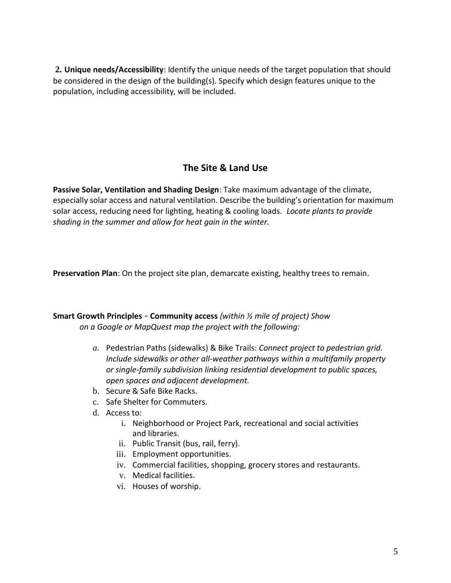**2. Unique needs/Accessibility**: Identify the unique needs of the target population that should be considered in the design of the building(s). Specify which design features unique to the population, including accessibility, will be included.

## **The Site & Land Use**

**Passive Solar, Ventilation and Shading Design**: Take maximum advantage of the climate, especially solar access and natural ventilation. Describe the building's orientation for maximum solar access, reducing need for lighting, heating & cooling loads*. Locate plants to provide shading in the summer and allow for heat gain in the winter.*

**Preservation Plan**: On the project site plan, demarcate existing, healthy trees to remain.

#### **Smart Growth Principles** - **Community access** *(within ½ mile of project) Show on a Google or MapQuest map the project with the following:*

- *a.* Pedestrian Paths (sidewalks) & Bike Trails: *Connect project to pedestrian grid. Include sidewalks or other all-weather pathways within a multifamily property or single-family subdivision linking residential development to public spaces, open spaces and adjacent development.*
- b. Secure & Safe Bike Racks.
- c. Safe Shelter for Commuters.
- d. Access to:
	- i. Neighborhood or Project Park, recreational and social activities and libraries.
	- ii. Public Transit (bus, rail, ferry).
	- iii. Employment opportunities.
	- iv. Commercial facilities, shopping, grocery stores and restaurants.
	- v. Medical facilities.
	- vi. Houses of worship.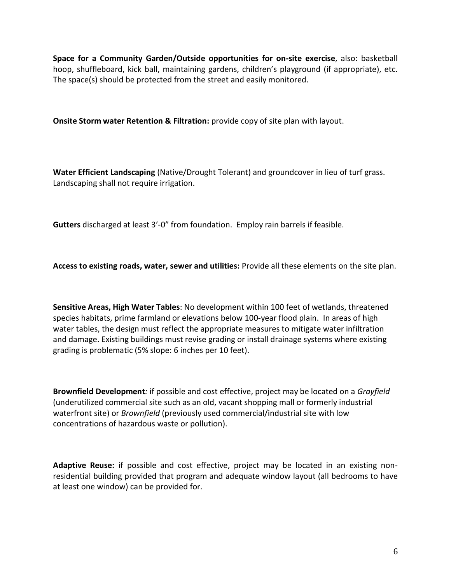**Space for a Community Garden/Outside opportunities for on-site exercise**, also: basketball hoop, shuffleboard, kick ball, maintaining gardens, children's playground (if appropriate), etc. The space(s) should be protected from the street and easily monitored.

**Onsite Storm water Retention & Filtration:** provide copy of site plan with layout.

**Water Efficient Landscaping** (Native/Drought Tolerant) and groundcover in lieu of turf grass. Landscaping shall not require irrigation.

**Gutters** discharged at least 3'-0" from foundation. Employ rain barrels if feasible.

**Access to existing roads, water, sewer and utilities:** Provide all these elements on the site plan.

**Sensitive Areas, High Water Tables**: No development within 100 feet of wetlands, threatened species habitats, prime farmland or elevations below 100-year flood plain. In areas of high water tables, the design must reflect the appropriate measures to mitigate water infiltration and damage. Existing buildings must revise grading or install drainage systems where existing grading is problematic (5% slope: 6 inches per 10 feet).

**Brownfield Development***:* if possible and cost effective, project may be located on a *Grayfield*  (underutilized commercial site such as an old, vacant shopping mall or formerly industrial waterfront site) or *Brownfield* (previously used commercial/industrial site with low concentrations of hazardous waste or pollution).

**Adaptive Reuse:** if possible and cost effective, project may be located in an existing nonresidential building provided that program and adequate window layout (all bedrooms to have at least one window) can be provided for.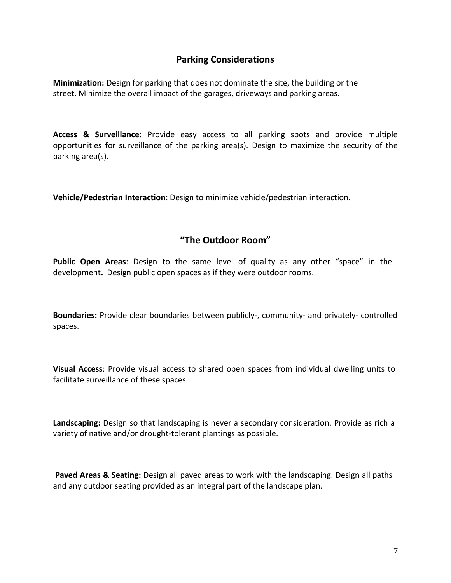#### **Parking Considerations**

**Minimization:** Design for parking that does not dominate the site, the building or the street. Minimize the overall impact of the garages, driveways and parking areas.

**Access & Surveillance:** Provide easy access to all parking spots and provide multiple opportunities for surveillance of the parking area(s). Design to maximize the security of the parking area(s).

**Vehicle/Pedestrian Interaction**: Design to minimize vehicle/pedestrian interaction.

#### **"The Outdoor Room"**

**Public Open Areas**: Design to the same level of quality as any other "space" in the development**.** Design public open spaces as if they were outdoor rooms.

**Boundaries:** Provide clear boundaries between publicly-, community- and privately- controlled spaces.

**Visual Access**: Provide visual access to shared open spaces from individual dwelling units to facilitate surveillance of these spaces.

**Landscaping:** Design so that landscaping is never a secondary consideration. Provide as rich a variety of native and/or drought-tolerant plantings as possible.

Paved Areas & Seating: Design all paved areas to work with the landscaping. Design all paths and any outdoor seating provided as an integral part of the landscape plan.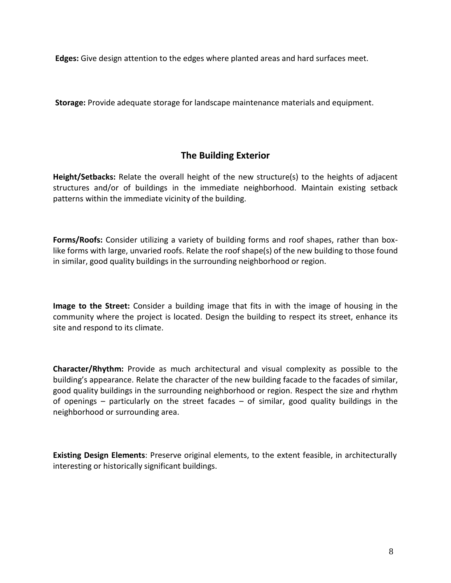**Edges:** Give design attention to the edges where planted areas and hard surfaces meet.

**Storage:** Provide adequate storage for landscape maintenance materials and equipment.

#### **The Building Exterior**

**Height/Setbacks:** Relate the overall height of the new structure(s) to the heights of adjacent structures and/or of buildings in the immediate neighborhood. Maintain existing setback patterns within the immediate vicinity of the building.

**Forms/Roofs:** Consider utilizing a variety of building forms and roof shapes, rather than boxlike forms with large, unvaried roofs. Relate the roof shape(s) of the new building to those found in similar, good quality buildings in the surrounding neighborhood or region.

**Image to the Street:** Consider a building image that fits in with the image of housing in the community where the project is located. Design the building to respect its street, enhance its site and respond to its climate.

**Character/Rhythm:** Provide as much architectural and visual complexity as possible to the building's appearance. Relate the character of the new building facade to the facades of similar, good quality buildings in the surrounding neighborhood or region. Respect the size and rhythm of openings – particularly on the street facades – of similar, good quality buildings in the neighborhood or surrounding area.

**Existing Design Elements**: Preserve original elements, to the extent feasible, in architecturally interesting or historically significant buildings.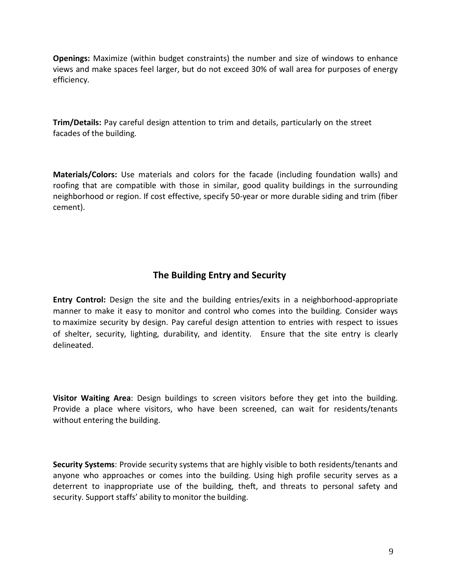**Openings:** Maximize (within budget constraints) the number and size of windows to enhance views and make spaces feel larger, but do not exceed 30% of wall area for purposes of energy efficiency.

**Trim/Details:** Pay careful design attention to trim and details, particularly on the street facades of the building.

**Materials/Colors:** Use materials and colors for the facade (including foundation walls) and roofing that are compatible with those in similar, good quality buildings in the surrounding neighborhood or region. If cost effective, specify 50-year or more durable siding and trim (fiber cement).

## **The Building Entry and Security**

**Entry Control:** Design the site and the building entries/exits in a neighborhood-appropriate manner to make it easy to monitor and control who comes into the building. Consider ways to maximize security by design. Pay careful design attention to entries with respect to issues of shelter, security, lighting, durability, and identity. Ensure that the site entry is clearly delineated.

**Visitor Waiting Area**: Design buildings to screen visitors before they get into the building. Provide a place where visitors, who have been screened, can wait for residents/tenants without entering the building.

**Security Systems**: Provide security systems that are highly visible to both residents/tenants and anyone who approaches or comes into the building. Using high profile security serves as a deterrent to inappropriate use of the building, theft, and threats to personal safety and security. Support staffs' ability to monitor the building.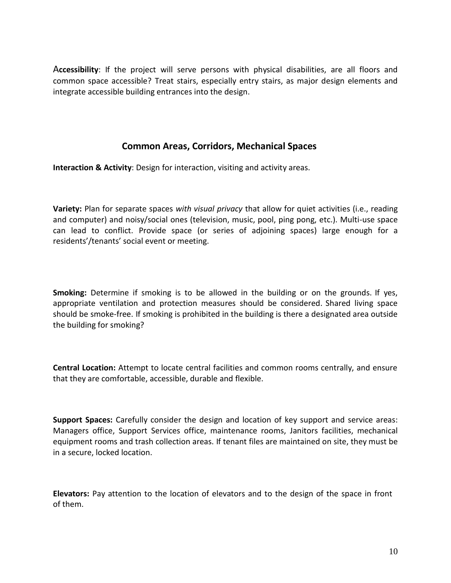A**ccessibility**: If the project will serve persons with physical disabilities, are all floors and common space accessible? Treat stairs, especially entry stairs, as major design elements and integrate accessible building entrances into the design.

#### **Common Areas, Corridors, Mechanical Spaces**

**Interaction & Activity**: Design for interaction, visiting and activity areas.

**Variety:** Plan for separate spaces *with visual privacy* that allow for quiet activities (i.e., reading and computer) and noisy/social ones (television, music, pool, ping pong, etc.). Multi-use space can lead to conflict. Provide space (or series of adjoining spaces) large enough for a residents'/tenants' social event or meeting.

**Smoking:** Determine if smoking is to be allowed in the building or on the grounds. If yes, appropriate ventilation and protection measures should be considered. Shared living space should be smoke-free. If smoking is prohibited in the building is there a designated area outside the building for smoking?

**Central Location:** Attempt to locate central facilities and common rooms centrally, and ensure that they are comfortable, accessible, durable and flexible.

**Support Spaces:** Carefully consider the design and location of key support and service areas: Managers office, Support Services office, maintenance rooms, Janitors facilities, mechanical equipment rooms and trash collection areas. If tenant files are maintained on site, they must be in a secure, locked location.

**Elevators:** Pay attention to the location of elevators and to the design of the space in front of them.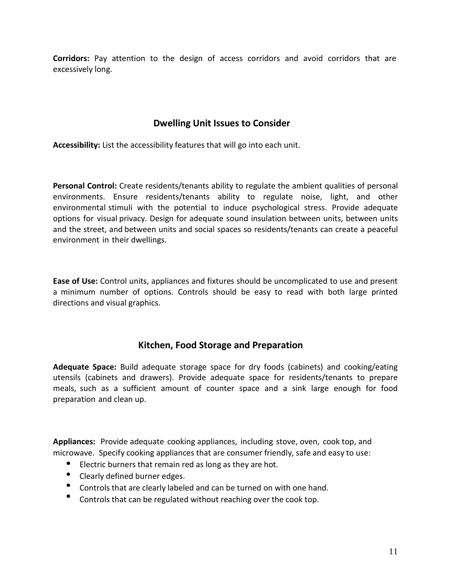**Corridors:** Pay attention to the design of access corridors and avoid corridors that are excessively long.

## **Dwelling Unit Issues to Consider**

**Accessibility:** List the accessibility features that will go into each unit.

Personal Control: Create residents/tenants ability to regulate the ambient qualities of personal environments. Ensure residents/tenants ability to regulate noise, light, and other environmental stimuli with the potential to induce psychological stress. Provide adequate options for visual privacy. Design for adequate sound insulation between units, between units and the street, and between units and social spaces so residents/tenants can create a peaceful environment in their dwellings.

**Ease of Use:** Control units, appliances and fixtures should be uncomplicated to use and present a minimum number of options. Controls should be easy to read with both large printed directions and visual graphics.

## **Kitchen, Food Storage and Preparation**

**Adequate Space:** Build adequate storage space for dry foods (cabinets) and cooking/eating utensils (cabinets and drawers). Provide adequate space for residents/tenants to prepare meals, such as a sufficient amount of counter space and a sink large enough for food preparation and clean up.

**Appliances:** Provide adequate cooking appliances, including stove, oven, cook top, and microwave. Specify cooking appliances that are consumer friendly, safe and easy to use:

- Electric burners that remain red as long as they are hot.
- Clearly defined burner edges.
- Controls that are clearly labeled and can be turned on with one hand.
- Controls that can be regulated without reaching over the cook top.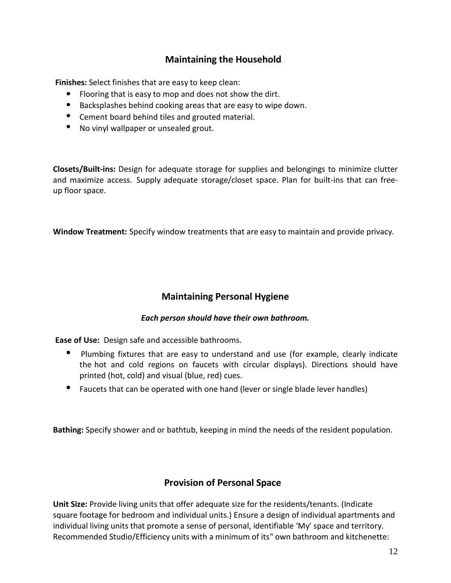## **Maintaining the Household**

**Finishes:** Select finishes that are easy to keep clean:

- Flooring that is easy to mop and does not show the dirt.
- $\bullet$ Backsplashes behind cooking areas that are easy to wipe down.
- Cement board behind tiles and grouted material.
- $\bullet$ No vinyl wallpaper or unsealed grout.

**Closets/Built-ins:** Design for adequate storage for supplies and belongings to minimize clutter and maximize access. Supply adequate storage/closet space. Plan for built-ins that can freeup floor space.

**Window Treatment:** Specify window treatments that are easy to maintain and provide privacy.

## **Maintaining Personal Hygiene**

#### *Each person should have their own bathroom.*

**Ease of Use:** Design safe and accessible bathrooms.

- Plumbing fixtures that are easy to understand and use (for example, clearly indicate the hot and cold regions on faucets with circular displays). Directions should have printed (hot, cold) and visual (blue, red) cues.
- Faucets that can be operated with one hand (lever or single blade lever handles)

**Bathing:** Specify shower and or bathtub, keeping in mind the needs of the resident population.

#### **Provision of Personal Space**

**Unit Size:** Provide living units that offer adequate size for the residents/tenants. (Indicate square footage for bedroom and individual units.) Ensure a design of individual apartments and individual living units that promote a sense of personal, identifiable 'My' space and territory. Recommended Studio/Efficiency units with a minimum of its" own bathroom and kitchenette: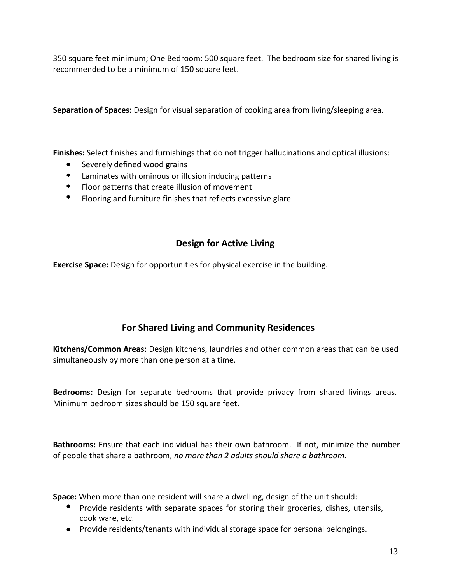350 square feet minimum; One Bedroom: 500 square feet. The bedroom size for shared living is recommended to be a minimum of 150 square feet.

**Separation of Spaces:** Design for visual separation of cooking area from living/sleeping area.

**Finishes:** Select finishes and furnishings that do not trigger hallucinations and optical illusions:

- Severely defined wood grains
- $\bullet$ Laminates with ominous or illusion inducing patterns
- $\bullet$ Floor patterns that create illusion of movement
- $\bullet$ Flooring and furniture finishes that reflects excessive glare

## **Design for Active Living**

**Exercise Space:** Design for opportunities for physical exercise in the building.

## **For Shared Living and Community Residences**

**Kitchens/Common Areas:** Design kitchens, laundries and other common areas that can be used simultaneously by more than one person at a time.

**Bedrooms:** Design for separate bedrooms that provide privacy from shared livings areas. Minimum bedroom sizes should be 150 square feet.

**Bathrooms:** Ensure that each individual has their own bathroom. If not, minimize the number of people that share a bathroom, *no more than 2 adults should share a bathroom.*

**Space:** When more than one resident will share a dwelling, design of the unit should:

- Provide residents with separate spaces for storing their groceries, dishes, utensils, cook ware, etc.
- Provide residents/tenants with individual storage space for personal belongings.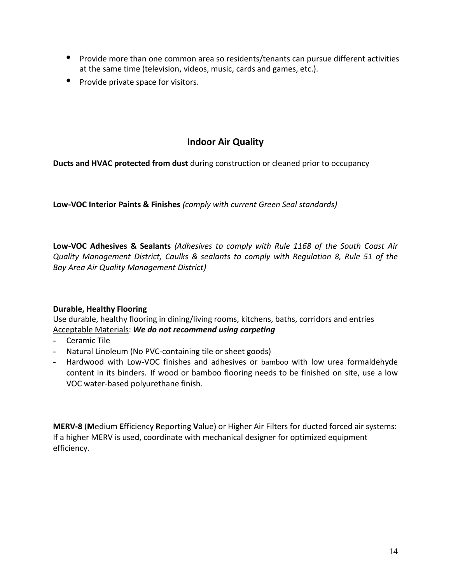- Provide more than one common area so residents/tenants can pursue different activities at the same time (television, videos, music, cards and games, etc.).
- Provide private space for visitors.

## **Indoor Air Quality**

**Ducts and HVAC protected from dust** during construction or cleaned prior to occupancy

**Low-VOC Interior Paints & Finishes** *(comply with current Green Seal standards)*

**Low-VOC Adhesives & Sealants** *(Adhesives to comply with Rule 1168 of the South Coast Air Quality Management District, Caulks & sealants to comply with Regulation 8, Rule 51 of the Bay Area Air Quality Management District)*

#### **Durable, Healthy Flooring**

Use durable, healthy flooring in dining/living rooms, kitchens, baths, corridors and entries Acceptable Materials: *We do not recommend using carpeting*

- Ceramic Tile
- Natural Linoleum (No PVC-containing tile or sheet goods)
- Hardwood with Low-VOC finishes and adhesives or bamboo with low urea formaldehyde content in its binders. If wood or bamboo flooring needs to be finished on site, use a low VOC water-based polyurethane finish.

**MERV-8** (**M**edium **E**fficiency **R**eporting **V**alue) or Higher Air Filters for ducted forced air systems: If a higher MERV is used, coordinate with mechanical designer for optimized equipment efficiency.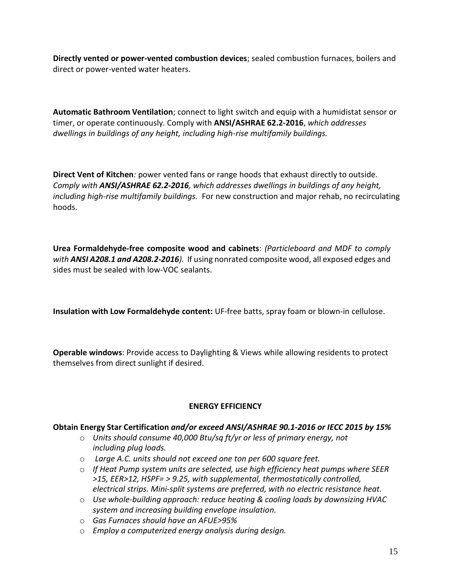**Directly vented or power-vented combustion devices**; sealed combustion furnaces, boilers and direct or power-vented water heaters.

**Automatic Bathroom Ventilation**; connect to light switch and equip with a humidistat sensor or timer, or operate continuously. Comply with **ANSI/ASHRAE 62.2-2016**, *which addresses dwellings in buildings of any height, including high-rise multifamily buildings.*

**Direct Vent of Kitchen***:* power vented fans or range hoods that exhaust directly to outside. *Comply with ANSI/ASHRAE 62.2-2016, which addresses dwellings in buildings of any height, including high-rise multifamily buildings.* For new construction and major rehab, no recirculating hoods.

**Urea Formaldehyde-free composite wood and cabinets**: *(Particleboard and MDF to comply with ANSI A208.1 and A208.2-2016).* If using nonrated composite wood, all exposed edges and sides must be sealed with low-VOC sealants.

**Insulation with Low Formaldehyde content:** UF-free batts, spray foam or blown-in cellulose.

**Operable windows**: Provide access to Daylighting & Views while allowing residents to protect themselves from direct sunlight if desired.

#### **ENERGY EFFICIENCY**

#### **Obtain Energy Star Certification** *and/or exceed ANSI/ASHRAE 90.1-2016 or IECC 2015 by 15%*

- o *Units should consume 40,000 Btu/sq ft/yr or less of primary energy, not including plug loads.*
- o *Large A.C. units should not exceed one ton per 600 square feet.*
- o *If Heat Pump system units are selected, use high efficiency heat pumps where SEER >15, EER>12, HSPF= > 9.25, with supplemental, thermostatically controlled, electrical strips. Mini-split systems are preferred, with no electric resistance heat.*
- o *Use whole-building approach: reduce heating & cooling loads by downsizing HVAC system and increasing building envelope insulation.*
- o *Gas Furnaces should have an AFUE>95%*
- o *Employ a computerized energy analysis during design.*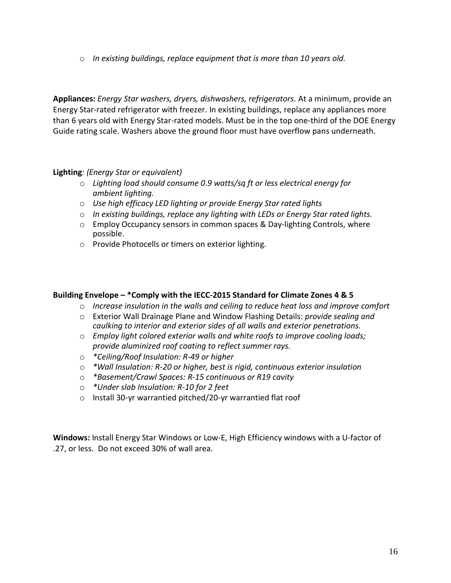o *In existing buildings, replace equipment that is more than 10 years old.*

**Appliances:** *Energy Star washers, dryers, dishwashers, refrigerators.* At a minimum, provide an Energy Star-rated refrigerator with freezer. In existing buildings, replace any appliances more than 6 years old with Energy Star-rated models. Must be in the top one-third of the DOE Energy Guide rating scale. Washers above the ground floor must have overflow pans underneath.

#### **Lighting***: (Energy Star or equivalent)*

- o *Lighting load should consume 0.9 watts/sq ft or less electrical energy for ambient lighting.*
- o *Use high efficacy LED lighting or provide Energy Star rated lights*
- o *In existing buildings, replace any lighting with LEDs or Energy Star rated lights.*
- o Employ Occupancy sensors in common spaces & Day-lighting Controls, where possible.
- o Provide Photocells or timers on exterior lighting.

#### **Building Envelope – \*Comply with the IECC-2015 Standard for Climate Zones 4 & 5**

- o *Increase insulation in the walls and ceiling to reduce heat loss and improve comfort*
- o Exterior Wall Drainage Plane and Window Flashing Details: *provide sealing and caulking to interior and exterior sides of all walls and exterior penetrations.*
- o *Employ light colored exterior walls and white roofs to improve cooling loads; provide aluminized roof coating to reflect summer rays.*
- o *\*Ceiling/Roof Insulation: R-49 or higher*
- o *\*Wall Insulation: R-20 or higher, best is rigid, continuous exterior insulation*
- o *\*Basement/Crawl Spaces: R-15 continuous or R19 cavity*
- o *\*Under slab Insulation: R-10 for 2 feet*
- o Install 30-yr warrantied pitched/20-yr warrantied flat roof

**Windows:** Install Energy Star Windows or Low-E, High Efficiency windows with a U-factor of .27, or less. Do not exceed 30% of wall area.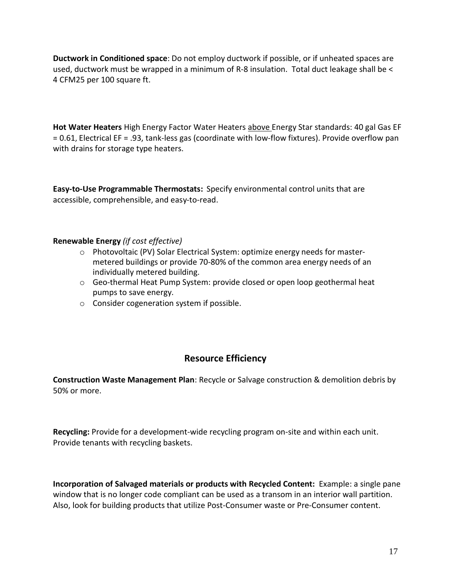**Ductwork in Conditioned space**: Do not employ ductwork if possible, or if unheated spaces are used, ductwork must be wrapped in a minimum of R-8 insulation. Total duct leakage shall be < 4 CFM25 per 100 square ft.

**Hot Water Heaters** High Energy Factor Water Heaters above Energy Star standards: 40 gal Gas EF = 0.61, Electrical EF = .93, tank-less gas (coordinate with low-flow fixtures). Provide overflow pan with drains for storage type heaters.

**Easy-to-Use Programmable Thermostats:** Specify environmental control units that are accessible, comprehensible, and easy-to-read.

#### **Renewable Energy** *(if cost effective)*

- $\circ$  Photovoltaic (PV) Solar Electrical System: optimize energy needs for mastermetered buildings or provide 70-80% of the common area energy needs of an individually metered building.
- o Geo-thermal Heat Pump System: provide closed or open loop geothermal heat pumps to save energy.
- o Consider cogeneration system if possible.

#### **Resource Efficiency**

**Construction Waste Management Plan**: Recycle or Salvage construction & demolition debris by 50% or more.

**Recycling:** Provide for a development-wide recycling program on-site and within each unit. Provide tenants with recycling baskets.

**Incorporation of Salvaged materials or products with Recycled Content:** Example: a single pane window that is no longer code compliant can be used as a transom in an interior wall partition. Also, look for building products that utilize Post-Consumer waste or Pre-Consumer content.